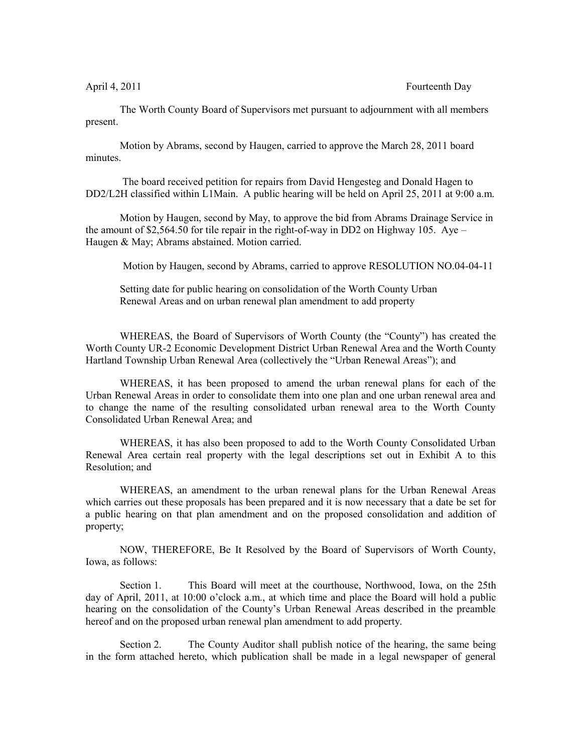## April 4, 2011 Fourteenth Day

The Worth County Board of Supervisors met pursuant to adjournment with all members present.

Motion by Abrams, second by Haugen, carried to approve the March 28, 2011 board minutes.

 The board received petition for repairs from David Hengesteg and Donald Hagen to DD2/L2H classified within L1Main. A public hearing will be held on April 25, 2011 at 9:00 a.m.

Motion by Haugen, second by May, to approve the bid from Abrams Drainage Service in the amount of \$2,564.50 for tile repair in the right-of-way in DD2 on Highway 105. Aye – Haugen & May; Abrams abstained. Motion carried.

Motion by Haugen, second by Abrams, carried to approve RESOLUTION NO.04-04-11

Setting date for public hearing on consolidation of the Worth County Urban Renewal Areas and on urban renewal plan amendment to add property

WHEREAS, the Board of Supervisors of Worth County (the "County") has created the Worth County UR-2 Economic Development District Urban Renewal Area and the Worth County Hartland Township Urban Renewal Area (collectively the "Urban Renewal Areas"); and

WHEREAS, it has been proposed to amend the urban renewal plans for each of the Urban Renewal Areas in order to consolidate them into one plan and one urban renewal area and to change the name of the resulting consolidated urban renewal area to the Worth County Consolidated Urban Renewal Area; and

WHEREAS, it has also been proposed to add to the Worth County Consolidated Urban Renewal Area certain real property with the legal descriptions set out in Exhibit A to this Resolution; and

WHEREAS, an amendment to the urban renewal plans for the Urban Renewal Areas which carries out these proposals has been prepared and it is now necessary that a date be set for a public hearing on that plan amendment and on the proposed consolidation and addition of property;

NOW, THEREFORE, Be It Resolved by the Board of Supervisors of Worth County, Iowa, as follows:

Section 1. This Board will meet at the courthouse, Northwood, Iowa, on the 25th day of April, 2011, at 10:00 o'clock a.m., at which time and place the Board will hold a public hearing on the consolidation of the County's Urban Renewal Areas described in the preamble hereof and on the proposed urban renewal plan amendment to add property.

Section 2. The County Auditor shall publish notice of the hearing, the same being in the form attached hereto, which publication shall be made in a legal newspaper of general